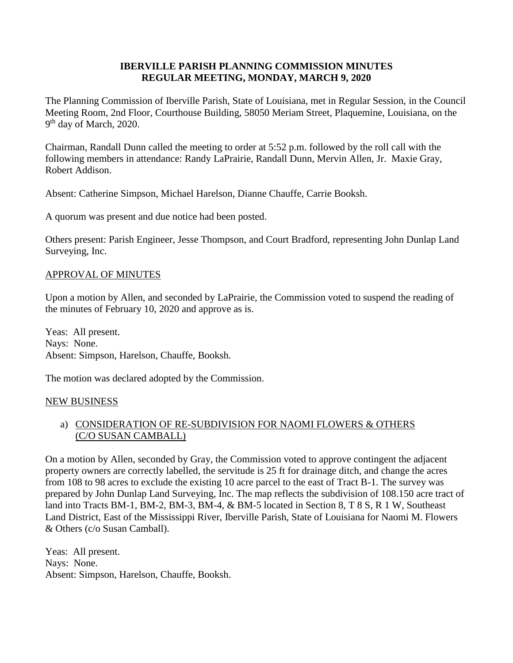### **IBERVILLE PARISH PLANNING COMMISSION MINUTES REGULAR MEETING, MONDAY, MARCH 9, 2020**

The Planning Commission of Iberville Parish, State of Louisiana, met in Regular Session, in the Council Meeting Room, 2nd Floor, Courthouse Building, 58050 Meriam Street, Plaquemine, Louisiana, on the 9<sup>th</sup> day of March, 2020.

Chairman, Randall Dunn called the meeting to order at 5:52 p.m. followed by the roll call with the following members in attendance: Randy LaPrairie, Randall Dunn, Mervin Allen, Jr. Maxie Gray, Robert Addison.

Absent: Catherine Simpson, Michael Harelson, Dianne Chauffe, Carrie Booksh.

A quorum was present and due notice had been posted.

Others present: Parish Engineer, Jesse Thompson, and Court Bradford, representing John Dunlap Land Surveying, Inc.

### APPROVAL OF MINUTES

Upon a motion by Allen, and seconded by LaPrairie, the Commission voted to suspend the reading of the minutes of February 10, 2020 and approve as is.

Yeas: All present. Nays: None. Absent: Simpson, Harelson, Chauffe, Booksh.

The motion was declared adopted by the Commission.

### NEW BUSINESS

## a) CONSIDERATION OF RE-SUBDIVISION FOR NAOMI FLOWERS & OTHERS (C/O SUSAN CAMBALL)

On a motion by Allen, seconded by Gray, the Commission voted to approve contingent the adjacent property owners are correctly labelled, the servitude is 25 ft for drainage ditch, and change the acres from 108 to 98 acres to exclude the existing 10 acre parcel to the east of Tract B-1. The survey was prepared by John Dunlap Land Surveying, Inc. The map reflects the subdivision of 108.150 acre tract of land into Tracts BM-1, BM-2, BM-3, BM-4, & BM-5 located in Section 8, T 8 S, R 1 W, Southeast Land District, East of the Mississippi River, Iberville Parish, State of Louisiana for Naomi M. Flowers & Others (c/o Susan Camball).

Yeas: All present. Nays: None. Absent: Simpson, Harelson, Chauffe, Booksh.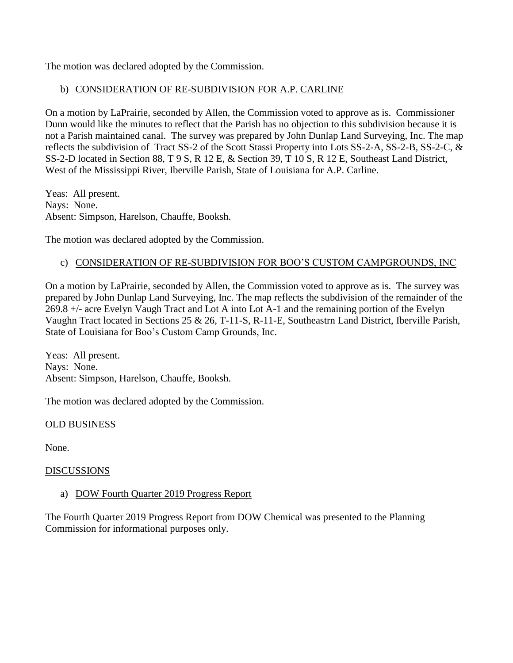The motion was declared adopted by the Commission.

# b) CONSIDERATION OF RE-SUBDIVISION FOR A.P. CARLINE

On a motion by LaPrairie, seconded by Allen, the Commission voted to approve as is. Commissioner Dunn would like the minutes to reflect that the Parish has no objection to this subdivision because it is not a Parish maintained canal. The survey was prepared by John Dunlap Land Surveying, Inc. The map reflects the subdivision of Tract SS-2 of the Scott Stassi Property into Lots SS-2-A, SS-2-B, SS-2-C, & SS-2-D located in Section 88, T 9 S, R 12 E, & Section 39, T 10 S, R 12 E, Southeast Land District, West of the Mississippi River, Iberville Parish, State of Louisiana for A.P. Carline.

Yeas: All present. Nays: None. Absent: Simpson, Harelson, Chauffe, Booksh.

The motion was declared adopted by the Commission.

## c) CONSIDERATION OF RE-SUBDIVISION FOR BOO'S CUSTOM CAMPGROUNDS, INC

On a motion by LaPrairie, seconded by Allen, the Commission voted to approve as is. The survey was prepared by John Dunlap Land Surveying, Inc. The map reflects the subdivision of the remainder of the 269.8 +/- acre Evelyn Vaugh Tract and Lot A into Lot A-1 and the remaining portion of the Evelyn Vaughn Tract located in Sections 25 & 26, T-11-S, R-11-E, Southeastrn Land District, Iberville Parish, State of Louisiana for Boo's Custom Camp Grounds, Inc.

Yeas: All present. Nays: None. Absent: Simpson, Harelson, Chauffe, Booksh.

The motion was declared adopted by the Commission.

### OLD BUSINESS

None.

### **DISCUSSIONS**

### a) DOW Fourth Quarter 2019 Progress Report

The Fourth Quarter 2019 Progress Report from DOW Chemical was presented to the Planning Commission for informational purposes only.